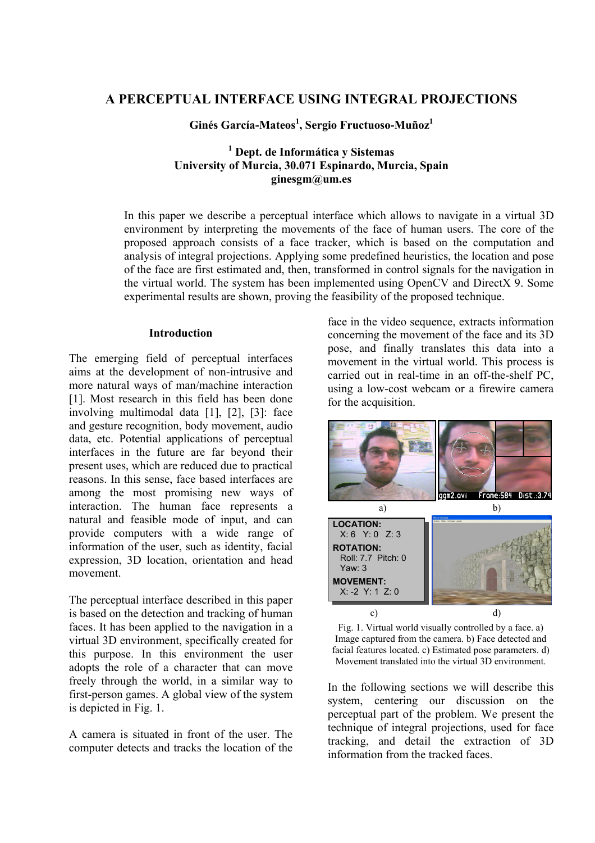# **A PERCEPTUAL INTERFACE USING INTEGRAL PROJECTIONS**

**Ginés García-Mateos1 , Sergio Fructuoso-Muñoz1**

# **1 Dept. de Informática y Sistemas University of Murcia, 30.071 Espinardo, Murcia, Spain ginesgm@um.es**

In this paper we describe a perceptual interface which allows to navigate in a virtual 3D environment by interpreting the movements of the face of human users. The core of the proposed approach consists of a face tracker, which is based on the computation and analysis of integral projections. Applying some predefined heuristics, the location and pose of the face are first estimated and, then, transformed in control signals for the navigation in the virtual world. The system has been implemented using OpenCV and DirectX 9. Some experimental results are shown, proving the feasibility of the proposed technique.

### **Introduction**

The emerging field of perceptual interfaces aims at the development of non-intrusive and more natural ways of man/machine interaction [1]. Most research in this field has been done involving multimodal data [1], [2], [3]: face and gesture recognition, body movement, audio data, etc. Potential applications of perceptual interfaces in the future are far beyond their present uses, which are reduced due to practical reasons. In this sense, face based interfaces are among the most promising new ways of interaction. The human face represents a natural and feasible mode of input, and can provide computers with a wide range of information of the user, such as identity, facial expression, 3D location, orientation and head movement.

The perceptual interface described in this paper is based on the detection and tracking of human faces. It has been applied to the navigation in a virtual 3D environment, specifically created for this purpose. In this environment the user adopts the role of a character that can move freely through the world, in a similar way to first-person games. A global view of the system is depicted in Fig. 1.

A camera is situated in front of the user. The computer detects and tracks the location of the

face in the video sequence, extracts information concerning the movement of the face and its 3D pose, and finally translates this data into a movement in the virtual world. This process is carried out in real-time in an off-the-shelf PC, using a low-cost webcam or a firewire camera for the acquisition.



Fig. 1. Virtual world visually controlled by a face. a) Image captured from the camera. b) Face detected and facial features located. c) Estimated pose parameters. d) Movement translated into the virtual 3D environment.

In the following sections we will describe this system, centering our discussion on the perceptual part of the problem. We present the technique of integral projections, used for face tracking, and detail the extraction of 3D information from the tracked faces.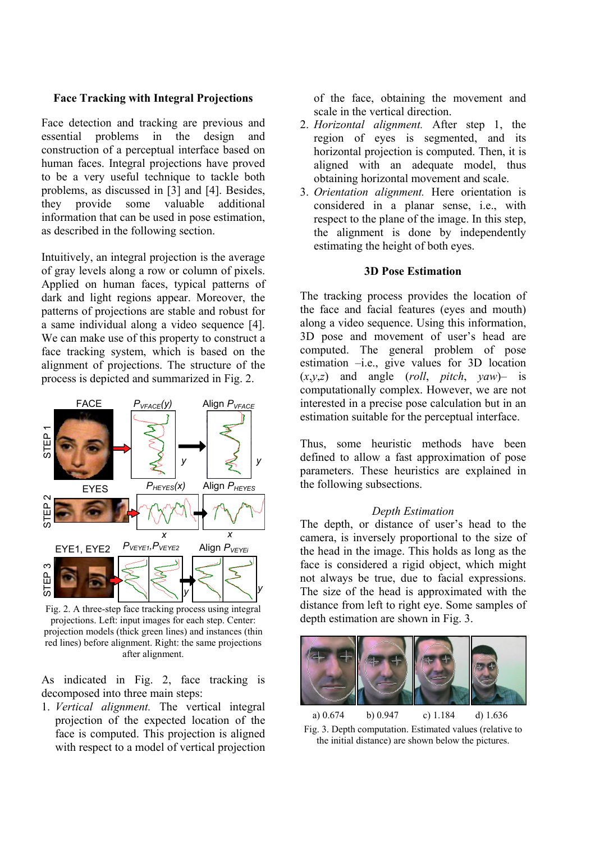## **Face Tracking with Integral Projections**

Face detection and tracking are previous and essential problems in the design and construction of a perceptual interface based on human faces. Integral projections have proved to be a very useful technique to tackle both problems, as discussed in [3] and [4]. Besides, they provide some valuable additional information that can be used in pose estimation, as described in the following section.

Intuitively, an integral projection is the average of gray levels along a row or column of pixels. Applied on human faces, typical patterns of dark and light regions appear. Moreover, the patterns of projections are stable and robust for a same individual along a video sequence [4]. We can make use of this property to construct a face tracking system, which is based on the alignment of projections. The structure of the process is depicted and summarized in Fig. 2.



Fig. 2. A three-step face tracking process using integral projections. Left: input images for each step. Center: projection models (thick green lines) and instances (thin red lines) before alignment. Right: the same projections after alignment.

As indicated in Fig. 2, face tracking is decomposed into three main steps:

1. *Vertical alignment.* The vertical integral projection of the expected location of the face is computed. This projection is aligned with respect to a model of vertical projection of the face, obtaining the movement and scale in the vertical direction.

- 2. *Horizontal alignment.* After step 1, the region of eyes is segmented, and its horizontal projection is computed. Then, it is aligned with an adequate model, thus obtaining horizontal movement and scale.
- 3. *Orientation alignment.* Here orientation is considered in a planar sense, i.e., with respect to the plane of the image. In this step, the alignment is done by independently estimating the height of both eyes.

## **3D Pose Estimation**

The tracking process provides the location of the face and facial features (eyes and mouth) along a video sequence. Using this information, 3D pose and movement of user's head are computed. The general problem of pose estimation –i.e., give values for 3D location  $(x,y,z)$  and angle (*roll*, *pitch*, *yaw*)– is computationally complex. However, we are not interested in a precise pose calculation but in an estimation suitable for the perceptual interface.

Thus, some heuristic methods have been defined to allow a fast approximation of pose parameters. These heuristics are explained in the following subsections.

### *Depth Estimation*

The depth, or distance of user's head to the camera, is inversely proportional to the size of the head in the image. This holds as long as the face is considered a rigid object, which might not always be true, due to facial expressions. The size of the head is approximated with the distance from left to right eye. Some samples of depth estimation are shown in Fig. 3.



Fig. 3. Depth computation. Estimated values (relative to the initial distance) are shown below the pictures.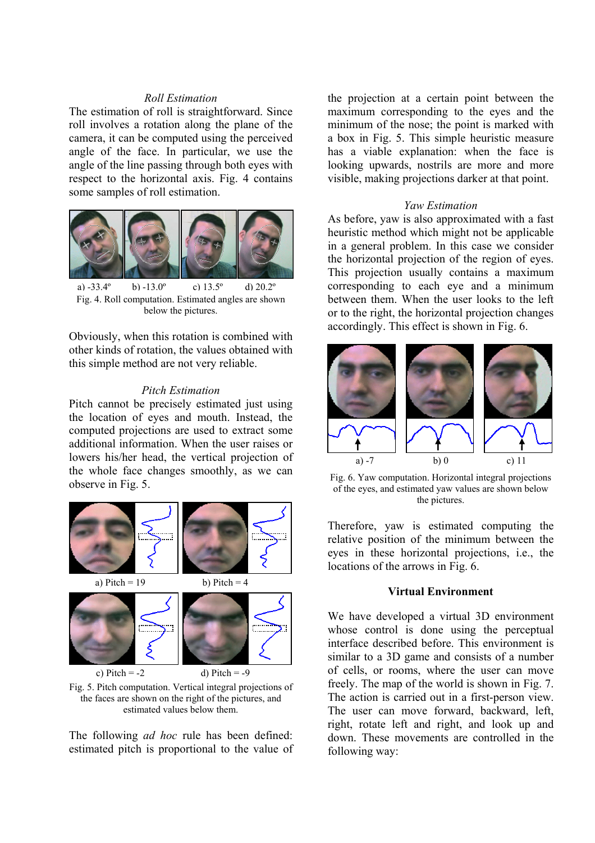# *Roll Estimation*

The estimation of roll is straightforward. Since roll involves a rotation along the plane of the camera, it can be computed using the perceived angle of the face. In particular, we use the angle of the line passing through both eyes with respect to the horizontal axis. Fig. 4 contains some samples of roll estimation.



Fig. 4. Roll computation. Estimated angles are shown below the pictures. a)  $-33.4^\circ$  b)  $-13.0^\circ$  c)  $13.5^\circ$  d)  $20.2^\circ$ 

Obviously, when this rotation is combined with other kinds of rotation, the values obtained with this simple method are not very reliable.

### *Pitch Estimation*

Pitch cannot be precisely estimated just using the location of eyes and mouth. Instead, the computed projections are used to extract some additional information. When the user raises or lowers his/her head, the vertical projection of the whole face changes smoothly, as we can observe in Fig. 5.



Fig. 5. Pitch computation. Vertical integral projections of the faces are shown on the right of the pictures, and estimated values below them.

The following *ad hoc* rule has been defined: estimated pitch is proportional to the value of the projection at a certain point between the maximum corresponding to the eyes and the minimum of the nose; the point is marked with a box in Fig. 5. This simple heuristic measure has a viable explanation: when the face is looking upwards, nostrils are more and more visible, making projections darker at that point.

### *Yaw Estimation*

As before, yaw is also approximated with a fast heuristic method which might not be applicable in a general problem. In this case we consider the horizontal projection of the region of eyes. This projection usually contains a maximum corresponding to each eye and a minimum between them. When the user looks to the left or to the right, the horizontal projection changes accordingly. This effect is shown in Fig. 6.



Fig. 6. Yaw computation. Horizontal integral projections of the eyes, and estimated yaw values are shown below the pictures.

Therefore, yaw is estimated computing the relative position of the minimum between the eyes in these horizontal projections, i.e., the locations of the arrows in Fig. 6.

### **Virtual Environment**

We have developed a virtual 3D environment whose control is done using the perceptual interface described before. This environment is similar to a 3D game and consists of a number of cells, or rooms, where the user can move freely. The map of the world is shown in Fig. 7. The action is carried out in a first-person view. The user can move forward, backward, left, right, rotate left and right, and look up and down. These movements are controlled in the following way: